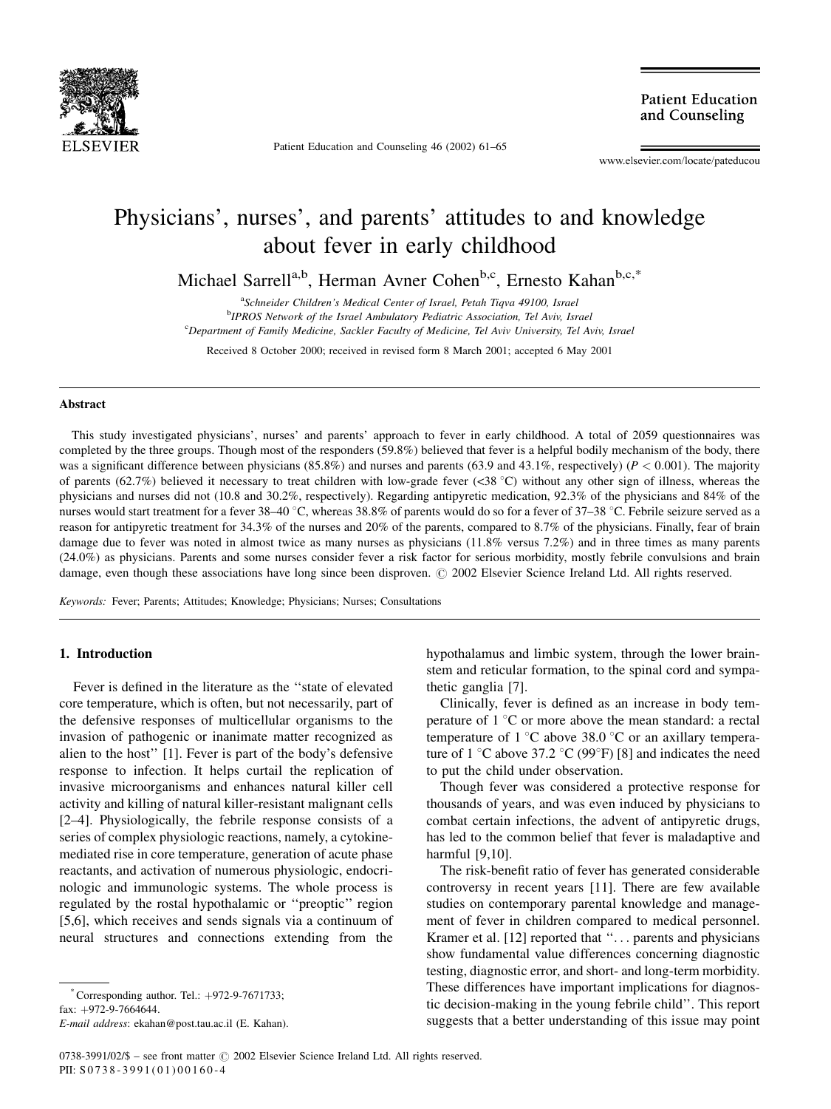

Patient Education and Counseling 46 (2002) 61-65

**Patient Education** and Counseling

www.elsevier.com/locate/pateducou

# Physicians', nurses', and parents' attitudes to and knowledge about fever in early childhood

Michael Sarrell<sup>a,b</sup>, Herman Avner Cohen<sup>b,c</sup>, Ernesto Kahan<sup>b,c,\*</sup>

<sup>a</sup>Schneider Children's Medical Center of Israel, Petah Tiqva 49100, Israel <sup>b</sup>IPROS Network of the Israel Ambulatory Pediatric Association, Tel Aviv, Israel <sup>c</sup>Department of Family Medicine, Sackler Faculty of Medicine, Tel Aviv University, Tel Aviv, Israel

Received 8 October 2000; received in revised form 8 March 2001; accepted 6 May 2001

### Abstract

This study investigated physicians', nurses' and parents' approach to fever in early childhood. A total of 2059 questionnaires was completed by the three groups. Though most of the responders (59.8%) believed that fever is a helpful bodily mechanism of the body, there was a significant difference between physicians (85.8%) and nurses and parents (63.9 and 43.1%, respectively) ( $P < 0.001$ ). The majority of parents (62.7%) believed it necessary to treat children with low-grade fever (<38 °C) without any other sign of illness, whereas the physicians and nurses did not (10.8 and 30.2%, respectively). Regarding antipyretic medication, 92.3% of the physicians and 84% of the nurses would start treatment for a fever 38–40 °C, whereas 38.8% of parents would do so for a fever of 37–38 °C. Febrile seizure served as a reason for antipyretic treatment for 34.3% of the nurses and 20% of the parents, compared to 8.7% of the physicians. Finally, fear of brain damage due to fever was noted in almost twice as many nurses as physicians (11.8% versus 7.2%) and in three times as many parents (24.0%) as physicians. Parents and some nurses consider fever a risk factor for serious morbidity, mostly febrile convulsions and brain damage, even though these associations have long since been disproven. © 2002 Elsevier Science Ireland Ltd. All rights reserved.

Keywords: Fever; Parents; Attitudes; Knowledge; Physicians; Nurses; Consultations

# 1. Introduction

Fever is defined in the literature as the "state of elevated core temperature, which is often, but not necessarily, part of the defensive responses of multicellular organisms to the invasion of pathogenic or inanimate matter recognized as alien to the host" [1]. Fever is part of the body's defensive response to infection. It helps curtail the replication of invasive microorganisms and enhances natural killer cell activity and killing of natural killer-resistant malignant cells [2–4]. Physiologically, the febrile response consists of a series of complex physiologic reactions, namely, a cytokinemediated rise in core temperature, generation of acute phase reactants, and activation of numerous physiologic, endocrinologic and immunologic systems. The whole process is regulated by the rostal hypothalamic or "preoptic" region [5,6], which receives and sends signals via a continuum of neural structures and connections extending from the

fax:  $+972-9-7664644$ .

hypothalamus and limbic system, through the lower brainstem and reticular formation, to the spinal cord and sympathetic ganglia [7].

Clinically, fever is defined as an increase in body temperature of  $1^{\circ}$ C or more above the mean standard: a rectal temperature of 1  $\degree$ C above 38.0  $\degree$ C or an axillary temperature of 1 °C above 37.2 °C (99°F) [8] and indicates the need to put the child under observation.

Though fever was considered a protective response for thousands of years, and was even induced by physicians to combat certain infections, the advent of antipyretic drugs, has led to the common belief that fever is maladaptive and harmful  $[9,10]$ .

The risk-benefit ratio of fever has generated considerable controversy in recent years [11]. There are few available studies on contemporary parental knowledge and management of fever in children compared to medical personnel. Kramer et al. [12] reported that "... parents and physicians show fundamental value differences concerning diagnostic testing, diagnostic error, and short- and long-term morbidity. These differences have important implications for diagnostic decision-making in the young febrile child". This report suggests that a better understanding of this issue may point

 $^*$  Corresponding author. Tel.:  $+972-9-7671733$ ;

E-mail address: ekahan@post.tau.ac.il (E. Kahan).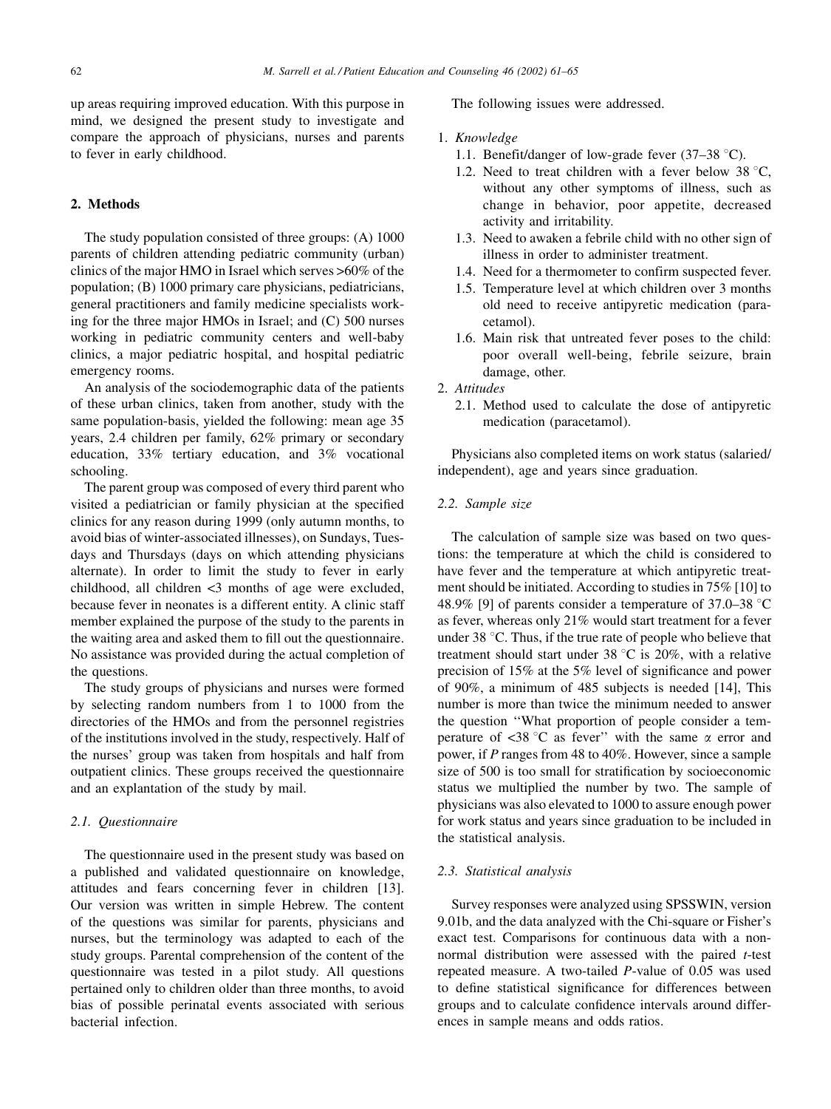up areas requiring improved education. With this purpose in mind, we designed the present study to investigate and compare the approach of physicians, nurses and parents to fever in early childhood.

## 2. Methods

The study population consisted of three groups: (A) 1000 parents of children attending pediatric community (urban) clinics of the major HMO in Israel which serves >60% of the population; (B) 1000 primary care physicians, pediatricians, general practitioners and family medicine specialists working for the three major HMOs in Israel; and (C) 500 nurses working in pediatric community centers and well-baby clinics, a major pediatric hospital, and hospital pediatric emergency rooms.

An analysis of the sociodemographic data of the patients of these urban clinics, taken from another, study with the same population-basis, vielded the following: mean age 35 years, 2.4 children per family, 62% primary or secondary education, 33% tertiary education, and 3% vocational schooling.

The parent group was composed of every third parent who visited a pediatrician or family physician at the specified clinics for any reason during 1999 (only autumn months, to avoid bias of winter-associated illnesses), on Sundays, Tuesdays and Thursdays (days on which attending physicians alternate). In order to limit the study to fever in early childhood, all children <3 months of age were excluded, because fever in neonates is a different entity. A clinic staff member explained the purpose of the study to the parents in the waiting area and asked them to fill out the questionnaire. No assistance was provided during the actual completion of the questions.

The study groups of physicians and nurses were formed by selecting random numbers from 1 to 1000 from the directories of the HMOs and from the personnel registries of the institutions involved in the study, respectively. Half of the nurses' group was taken from hospitals and half from outpatient clinics. These groups received the questionnaire and an explantation of the study by mail.

## 2.1. Ouestionnaire

The questionnaire used in the present study was based on a published and validated questionnaire on knowledge, attitudes and fears concerning fever in children [13]. Our version was written in simple Hebrew. The content of the questions was similar for parents, physicians and nurses, but the terminology was adapted to each of the study groups. Parental comprehension of the content of the questionnaire was tested in a pilot study. All questions pertained only to children older than three months, to avoid bias of possible perinatal events associated with serious hacterial infection

The following issues were addressed.

#### 1. Knowledge

- 1.1. Benefit/danger of low-grade fever  $(37-38 \degree C)$ .
- 1.2. Need to treat children with a fever below  $38^{\circ}$ C, without any other symptoms of illness, such as change in behavior, poor appetite, decreased activity and irritability.
- 1.3. Need to awaken a febrile child with no other sign of illness in order to administer treatment.
- 1.4. Need for a thermometer to confirm suspected fever.
- 1.5. Temperature level at which children over 3 months old need to receive antipyretic medication (paracetamol).
- 1.6. Main risk that untreated fever poses to the child: poor overall well-being, febrile seizure, brain damage, other.
- 2. Attitudes
	- 2.1. Method used to calculate the dose of antipyretic medication (paracetamol).

Physicians also completed items on work status (salaried/ independent), age and years since graduation.

## 2.2. Sample size

The calculation of sample size was based on two questions: the temperature at which the child is considered to have fever and the temperature at which antipyretic treatment should be initiated. According to studies in 75% [10] to 48.9% [9] of parents consider a temperature of 37.0–38 °C as fever, whereas only 21% would start treatment for a fever under 38 °C. Thus, if the true rate of people who believe that treatment should start under 38  $\degree$ C is 20%, with a relative precision of 15% at the 5% level of significance and power of 90%, a minimum of 485 subjects is needed [14], This number is more than twice the minimum needed to answer the question "What proportion of people consider a temperature of <38 °C as fever" with the same  $\alpha$  error and power, if P ranges from 48 to 40%. However, since a sample size of 500 is too small for stratification by socioeconomic status we multiplied the number by two. The sample of physicians was also elevated to 1000 to assure enough power for work status and years since graduation to be included in the statistical analysis.

#### 2.3. Statistical analysis

Survey responses were analyzed using SPSSWIN, version 9.01b, and the data analyzed with the Chi-square or Fisher's exact test. Comparisons for continuous data with a nonnormal distribution were assessed with the paired t-test repeated measure. A two-tailed *P*-value of 0.05 was used to define statistical significance for differences between groups and to calculate confidence intervals around differences in sample means and odds ratios.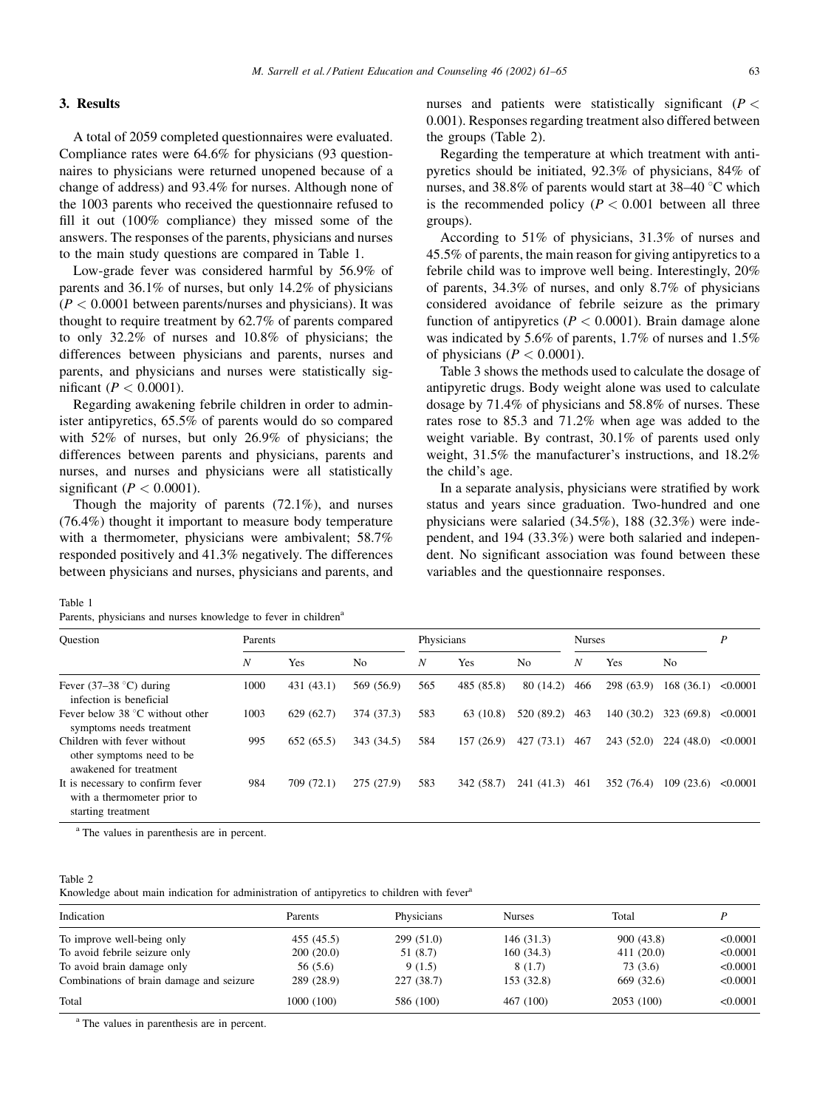## 3. Results

A total of 2059 completed questionnaires were evaluated. Compliance rates were 64.6% for physicians (93 questionnaires to physicians were returned unopened because of a change of address) and 93.4% for nurses. Although none of the 1003 parents who received the questionnaire refused to fill it out (100% compliance) they missed some of the answers. The responses of the parents, physicians and nurses to the main study questions are compared in Table 1.

Low-grade fever was considered harmful by 56.9% of parents and 36.1% of nurses, but only 14.2% of physicians  $(P < 0.0001$  between parents/nurses and physicians). It was thought to require treatment by 62.7% of parents compared to only  $32.2\%$  of nurses and  $10.8\%$  of physicians; the differences between physicians and parents, nurses and parents, and physicians and nurses were statistically significant ( $P < 0.0001$ ).

Regarding awakening febrile children in order to administer antipyretics, 65.5% of parents would do so compared with  $52\%$  of nurses, but only  $26.9\%$  of physicians; the differences between parents and physicians, parents and nurses, and nurses and physicians were all statistically significant ( $P < 0.0001$ ).

Though the majority of parents  $(72.1\%)$ , and nurses  $(76.4\%)$  thought it important to measure body temperature with a thermometer, physicians were ambivalent; 58.7% responded positively and 41.3% negatively. The differences between physicians and nurses, physicians and parents, and

nurses and patients were statistically significant ( $P <$ 0.001). Responses regarding treatment also differed between the groups (Table 2).

Regarding the temperature at which treatment with antipyretics should be initiated, 92.3% of physicians, 84% of nurses, and 38.8% of parents would start at 38–40 °C which is the recommended policy ( $P < 0.001$  between all three groups).

According to 51% of physicians, 31.3% of nurses and 45.5% of parents, the main reason for giving antipyretics to a febrile child was to improve well being. Interestingly, 20% of parents,  $34.3\%$  of nurses, and only 8.7% of physicians considered avoidance of febrile seizure as the primary function of antipyretics ( $P < 0.0001$ ). Brain damage alone was indicated by 5.6% of parents, 1.7% of nurses and 1.5% of physicians ( $P < 0.0001$ ).

Table 3 shows the methods used to calculate the dosage of antipyretic drugs. Body weight alone was used to calculate dosage by 71.4% of physicians and 58.8% of nurses. These rates rose to 85.3 and 71.2% when age was added to the weight variable. By contrast, 30.1% of parents used only weight, 31.5% the manufacturer's instructions, and 18.2% the child's age.

In a separate analysis, physicians were stratified by work status and years since graduation. Two-hundred and one physicians were salaried  $(34.5\%)$ , 188  $(32.3\%)$  were independent, and 194 (33.3%) were both salaried and independent. No significant association was found between these variables and the questionnaire responses.

Table 1

|  | Parents, physicians and nurses knowledge to fever in children <sup>4</sup> |  |  |  |  |  |  |  |  |  |
|--|----------------------------------------------------------------------------|--|--|--|--|--|--|--|--|--|
|--|----------------------------------------------------------------------------|--|--|--|--|--|--|--|--|--|

| Ouestion                                                                              | Parents          |            |                | Physicians       |            |                | <b>Nurses</b>    |            |                | P        |
|---------------------------------------------------------------------------------------|------------------|------------|----------------|------------------|------------|----------------|------------------|------------|----------------|----------|
|                                                                                       | $\boldsymbol{N}$ | Yes        | N <sub>o</sub> | $\boldsymbol{N}$ | Yes        | N <sub>0</sub> | $\boldsymbol{N}$ | Yes        | N <sub>0</sub> |          |
| Fever $(37-38$ °C) during<br>infection is beneficial                                  | 1000             | 431 (43.1) | 569 (56.9)     | 565              | 485 (85.8) | 80(14.2)       | 466              | 298 (63.9) | 168(36.1)      | < 0.0001 |
| Fever below $38^{\circ}$ C without other<br>symptoms needs treatment                  | 1003             | 629(62.7)  | 374 (37.3)     | 583              | 63 (10.8)  | 520 (89.2)     | 463              | 140 (30.2) | 323 (69.8)     | < 0.0001 |
| Children with fever without<br>other symptoms need to be<br>awakened for treatment    | 995              | 652(65.5)  | 343 (34.5)     | 584              | 157(26.9)  | 427(73.1)      | 467              | 243 (52.0) | 224(48.0)      | < 0.0001 |
| It is necessary to confirm fever<br>with a thermometer prior to<br>starting treatment | 984              | 709 (72.1) | 275 (27.9)     | 583              | 342 (58.7) | 241 (41.3)     | 461              | 352 (76.4) | 109(23.6)      | < 0.0001 |

<sup>a</sup> The values in parenthesis are in percent.

#### Table 2

Knowledge about main indication for administration of antipyretics to children with fever<sup>a</sup>

| Indication                               | Parents    | Physicians | <b>Nurses</b> | Total      |          |
|------------------------------------------|------------|------------|---------------|------------|----------|
| To improve well-being only               | 455 (45.5) | 299(51.0)  | 146 (31.3)    | 900(43.8)  | < 0.0001 |
| To avoid febrile seizure only            | 200(20.0)  | 51 (8.7)   | 160(34.3)     | 411(20.0)  | < 0.0001 |
| To avoid brain damage only               | 56 (5.6)   | 9(1.5)     | 8(1.7)        | 73 (3.6)   | < 0.0001 |
| Combinations of brain damage and seizure | 289 (28.9) | 227(38.7)  | 153 (32.8)    | 669 (32.6) | < 0.0001 |
| Total                                    | 1000 (100) | 586 (100)  | 467 (100)     | 2053 (100) | < 0.0001 |

<sup>a</sup> The values in parenthesis are in percent.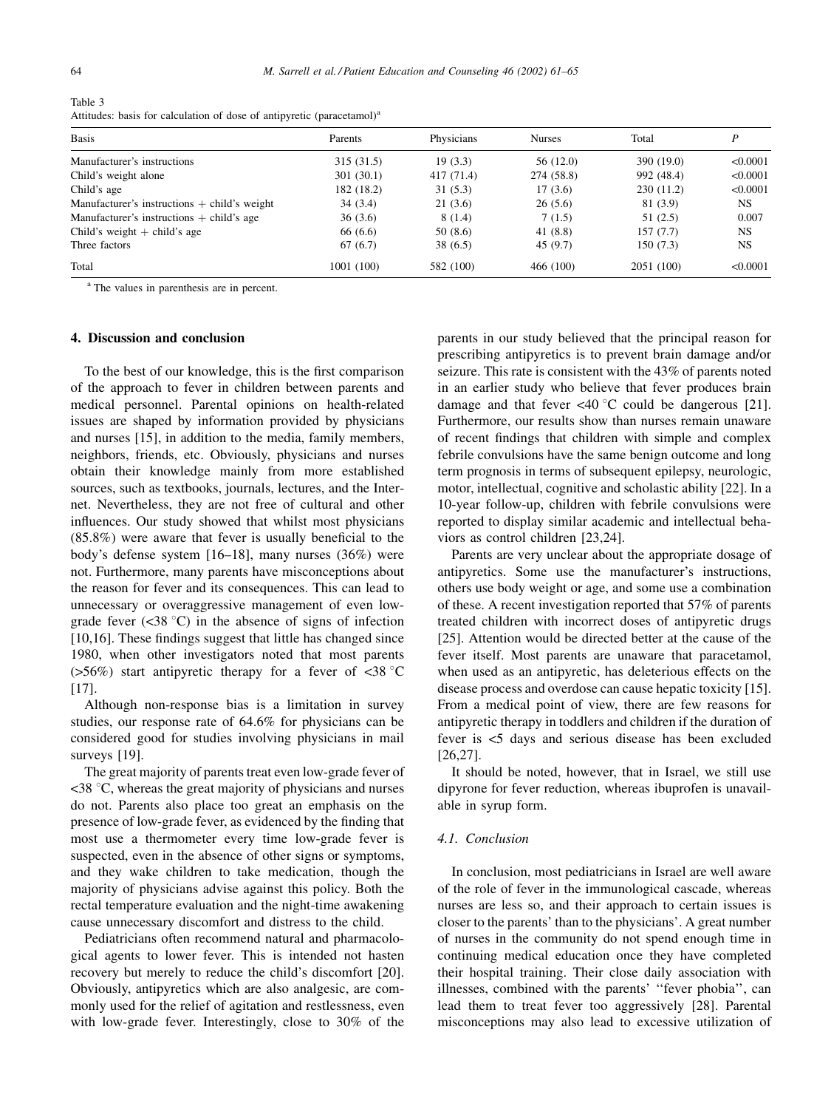| Table 3                                                                            |  |
|------------------------------------------------------------------------------------|--|
| Attitudes: basis for calculation of dose of antipyretic (paracetamol) <sup>8</sup> |  |

| <b>Basis</b>                                   | Parents    | Physicians | <b>Nurses</b> | Total      |           |  |
|------------------------------------------------|------------|------------|---------------|------------|-----------|--|
| Manufacturer's instructions                    | 315(31.5)  | 19(3.3)    | 56 (12.0)     | 390 (19.0) | < 0.0001  |  |
| Child's weight alone                           | 301(30.1)  | 417 (71.4) | 274 (58.8)    | 992 (48.4) | < 0.0001  |  |
| Child's age                                    | 182 (18.2) | 31(5.3)    | 17(3.6)       | 230(11.2)  | < 0.0001  |  |
| Manufacturer's instructions $+$ child's weight | 34(3.4)    | 21(3.6)    | 26(5.6)       | 81 (3.9)   | NS.       |  |
| Manufacturer's instructions $+$ child's age    | 36(3.6)    | 8(1.4)     | 7(1.5)        | 51(2.5)    | 0.007     |  |
| Child's weight $+$ child's age                 | 66 (6.6)   | 50 (8.6)   | 41(8.8)       | 157(7.7)   | <b>NS</b> |  |
| Three factors                                  | 67(6.7)    | 38(6.5)    | 45(9.7)       | 150(7.3)   | <b>NS</b> |  |
| Total                                          | 1001 (100) | 582 (100)  | 466 (100)     | 2051 (100) | < 0.0001  |  |

<sup>a</sup> The values in parenthesis are in percent.

# 4. Discussion and conclusion

To the best of our knowledge, this is the first comparison of the approach to fever in children between parents and medical personnel. Parental opinions on health-related issues are shaped by information provided by physicians and nurses [15], in addition to the media, family members, neighbors, friends, etc. Obviously, physicians and nurses obtain their knowledge mainly from more established sources, such as textbooks, journals, lectures, and the Internet. Nevertheless, they are not free of cultural and other influences. Our study showed that whilst most physicians  $(85.8\%)$  were aware that fever is usually beneficial to the body's defense system [16-18], many nurses  $(36%)$  were not. Furthermore, many parents have misconceptions about the reason for fever and its consequences. This can lead to unnecessary or overaggressive management of even lowgrade fever  $(\leq 38 \degree C)$  in the absence of signs of infection [10,16]. These findings suggest that little has changed since 1980, when other investigators noted that most parents ( $>56\%$ ) start antipyretic therapy for a fever of <38 °C  $[17]$ .

Although non-response bias is a limitation in survey studies, our response rate of 64.6% for physicians can be considered good for studies involving physicians in mail surveys [19].

The great majority of parents treat even low-grade fever of  $\leq$ 38 °C, whereas the great majority of physicians and nurses do not. Parents also place too great an emphasis on the presence of low-grade fever, as evidenced by the finding that most use a thermometer every time low-grade fever is suspected, even in the absence of other signs or symptoms, and they wake children to take medication, though the majority of physicians advise against this policy. Both the rectal temperature evaluation and the night-time awakening cause unnecessary discomfort and distress to the child.

Pediatricians often recommend natural and pharmacological agents to lower fever. This is intended not hasten recovery but merely to reduce the child's discomfort [20]. Obviously, antipyretics which are also analgesic, are commonly used for the relief of agitation and restlessness, even with low-grade fever. Interestingly, close to 30% of the

parents in our study believed that the principal reason for prescribing antipyretics is to prevent brain damage and/or seizure. This rate is consistent with the 43% of parents noted in an earlier study who believe that fever produces brain damage and that fever  $\langle 40 \degree C$  could be dangerous [21]. Furthermore, our results show than nurses remain unaware of recent findings that children with simple and complex febrile convulsions have the same benign outcome and long term prognosis in terms of subsequent epilepsy, neurologic, motor, intellectual, cognitive and scholastic ability [22]. In a 10-year follow-up, children with febrile convulsions were reported to display similar academic and intellectual behaviors as control children [23,24].

Parents are very unclear about the appropriate dosage of antipyretics. Some use the manufacturer's instructions, others use body weight or age, and some use a combination of these. A recent investigation reported that 57% of parents treated children with incorrect doses of antipyretic drugs [25]. Attention would be directed better at the cause of the fever itself. Most parents are unaware that paracetamol, when used as an antipyretic, has deleterious effects on the disease process and overdose can cause hepatic toxicity [15]. From a medical point of view, there are few reasons for antipyretic therapy in toddlers and children if the duration of fever is <5 days and serious disease has been excluded  $[26, 27]$ .

It should be noted, however, that in Israel, we still use dipyrone for fever reduction, whereas ibuprofen is unavailable in syrup form.

### 4.1. Conclusion

In conclusion, most pediatricians in Israel are well aware of the role of fever in the immunological cascade, whereas nurses are less so, and their approach to certain issues is closer to the parents' than to the physicians'. A great number of nurses in the community do not spend enough time in continuing medical education once they have completed their hospital training. Their close daily association with illnesses, combined with the parents' "fever phobia", can lead them to treat fever too aggressively [28]. Parental misconceptions may also lead to excessive utilization of